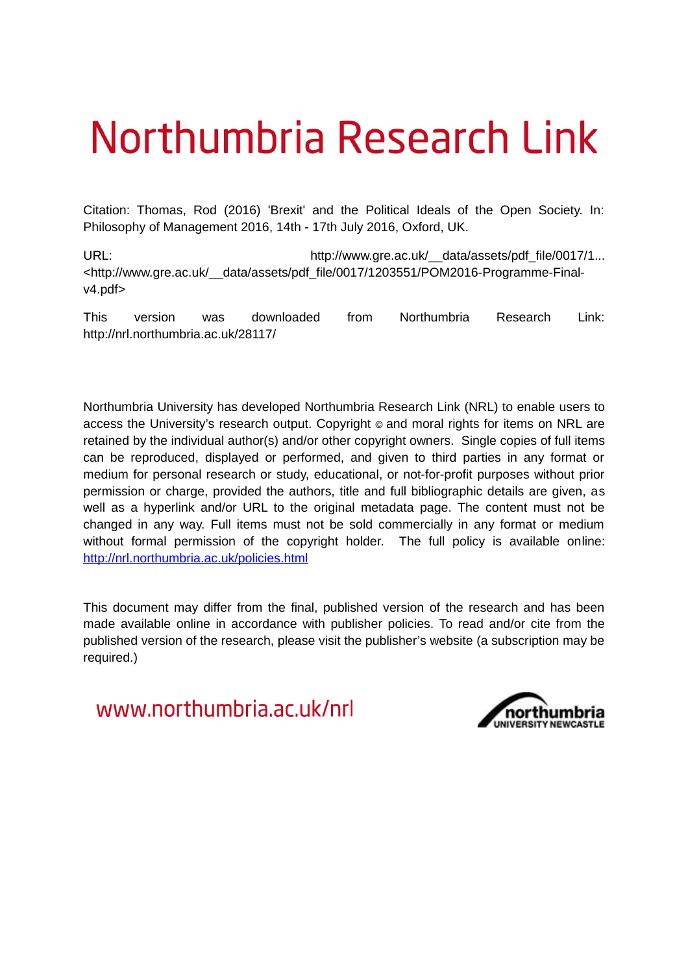## Northumbria Research Link

Citation: Thomas, Rod (2016) 'Brexit' and the Political Ideals of the Open Society. In: Philosophy of Management 2016, 14th - 17th July 2016, Oxford, UK.

URL: http://www.gre.ac.uk/\_\_data/assets/pdf\_file/0017/1... <http://www.gre.ac.uk/\_\_data/assets/pdf\_file/0017/1203551/POM2016-Programme-Finalv4.pdf>

This version was downloaded from Northumbria Research Link: http://nrl.northumbria.ac.uk/28117/

Northumbria University has developed Northumbria Research Link (NRL) to enable users to access the University's research output. Copyright  $\circ$  and moral rights for items on NRL are retained by the individual author(s) and/or other copyright owners. Single copies of full items can be reproduced, displayed or performed, and given to third parties in any format or medium for personal research or study, educational, or not-for-profit purposes without prior permission or charge, provided the authors, title and full bibliographic details are given, as well as a hyperlink and/or URL to the original metadata page. The content must not be changed in any way. Full items must not be sold commercially in any format or medium without formal permission of the copyright holder. The full policy is available online: <http://nrl.northumbria.ac.uk/policies.html>

This document may differ from the final, published version of the research and has been made available online in accordance with publisher policies. To read and/or cite from the published version of the research, please visit the publisher's website (a subscription may be required.)

www.northumbria.ac.uk/nrl

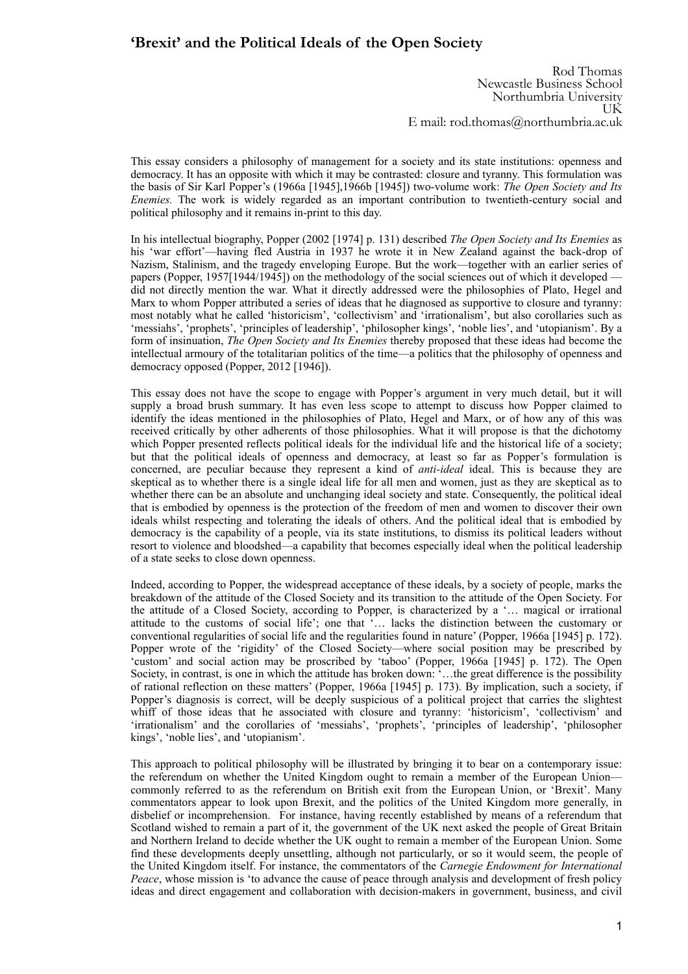## **'Brexit' and the Political Ideals of the Open Society**

Rod Thomas Newcastle Business School Northumbria University UK E mail: rod.thomas@northumbria.ac.uk

This essay considers a philosophy of management for a society and its state institutions: openness and democracy. It has an opposite with which it may be contrasted: closure and tyranny. This formulation was the basis of Sir Karl Popper's (1966a [1945],1966b [1945]) two-volume work: *The Open Society and Its Enemies.* The work is widely regarded as an important contribution to twentieth-century social and political philosophy and it remains in-print to this day.

In his intellectual biography, Popper (2002 [1974] p. 131) described *The Open Society and Its Enemies* as his 'war effort'—having fled Austria in 1937 he wrote it in New Zealand against the back-drop of Nazism, Stalinism, and the tragedy enveloping Europe. But the work—together with an earlier series of papers (Popper, 1957[1944/1945]) on the methodology of the social sciences out of which it developed did not directly mention the war. What it directly addressed were the philosophies of Plato, Hegel and Marx to whom Popper attributed a series of ideas that he diagnosed as supportive to closure and tyranny: most notably what he called 'historicism', 'collectivism' and 'irrationalism', but also corollaries such as 'messiahs', 'prophets', 'principles of leadership', 'philosopher kings', 'noble lies', and 'utopianism'. By a form of insinuation, *The Open Society and Its Enemies* thereby proposed that these ideas had become the intellectual armoury of the totalitarian politics of the time—a politics that the philosophy of openness and democracy opposed (Popper, 2012 [1946]).

This essay does not have the scope to engage with Popper's argument in very much detail, but it will supply a broad brush summary. It has even less scope to attempt to discuss how Popper claimed to identify the ideas mentioned in the philosophies of Plato, Hegel and Marx, or of how any of this was received critically by other adherents of those philosophies. What it will propose is that the dichotomy which Popper presented reflects political ideals for the individual life and the historical life of a society; but that the political ideals of openness and democracy, at least so far as Popper's formulation is concerned, are peculiar because they represent a kind of *anti-ideal* ideal. This is because they are skeptical as to whether there is a single ideal life for all men and women, just as they are skeptical as to whether there can be an absolute and unchanging ideal society and state. Consequently, the political ideal that is embodied by openness is the protection of the freedom of men and women to discover their own ideals whilst respecting and tolerating the ideals of others. And the political ideal that is embodied by democracy is the capability of a people, via its state institutions, to dismiss its political leaders without resort to violence and bloodshed—a capability that becomes especially ideal when the political leadership of a state seeks to close down openness.

Indeed, according to Popper, the widespread acceptance of these ideals, by a society of people, marks the breakdown of the attitude of the Closed Society and its transition to the attitude of the Open Society. For the attitude of a Closed Society, according to Popper, is characterized by a '… magical or irrational attitude to the customs of social life'; one that '… lacks the distinction between the customary or conventional regularities of social life and the regularities found in nature' (Popper, 1966a [1945] p. 172). Popper wrote of the 'rigidity' of the Closed Society—where social position may be prescribed by 'custom' and social action may be proscribed by 'taboo' (Popper, 1966a [1945] p. 172). The Open Society, in contrast, is one in which the attitude has broken down: '…the great difference is the possibility of rational reflection on these matters' (Popper, 1966a [1945] p. 173). By implication, such a society, if Popper's diagnosis is correct, will be deeply suspicious of a political project that carries the slightest whiff of those ideas that he associated with closure and tyranny: 'historicism', 'collectivism' and 'irrationalism' and the corollaries of 'messiahs', 'prophets', 'principles of leadership', 'philosopher kings', 'noble lies', and 'utopianism'.

This approach to political philosophy will be illustrated by bringing it to bear on a contemporary issue: the referendum on whether the United Kingdom ought to remain a member of the European Union commonly referred to as the referendum on British exit from the European Union, or 'Brexit'. Many commentators appear to look upon Brexit, and the politics of the United Kingdom more generally, in disbelief or incomprehension. For instance, having recently established by means of a referendum that Scotland wished to remain a part of it, the government of the UK next asked the people of Great Britain and Northern Ireland to decide whether the UK ought to remain a member of the European Union. Some find these developments deeply unsettling, although not particularly, or so it would seem, the people of the United Kingdom itself. For instance, the commentators of the *Carnegie Endowment for International Peace*, whose mission is 'to advance the cause of peace through analysis and development of fresh policy ideas and direct engagement and collaboration with decision-makers in government, business, and civil